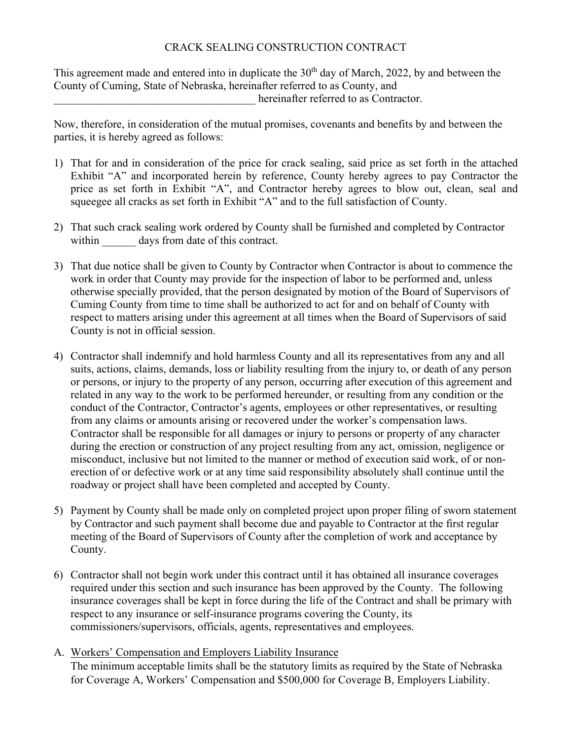#### CRACK SEALING CONSTRUCTION CONTRACT

This agreement made and entered into in duplicate the  $30<sup>th</sup>$  day of March, 2022, by and between the County of Cuming, State of Nebraska, hereinafter referred to as County, and hereinafter referred to as Contractor.

Now, therefore, in consideration of the mutual promises, covenants and benefits by and between the parties, it is hereby agreed as follows:

- 1) That for and in consideration of the price for crack sealing, said price as set forth in the attached Exhibit "A" and incorporated herein by reference, County hereby agrees to pay Contractor the price as set forth in Exhibit "A", and Contractor hereby agrees to blow out, clean, seal and squeegee all cracks as set forth in Exhibit "A" and to the full satisfaction of County.
- 2) That such crack sealing work ordered by County shall be furnished and completed by Contractor within days from date of this contract.
- 3) That due notice shall be given to County by Contractor when Contractor is about to commence the work in order that County may provide for the inspection of labor to be performed and, unless otherwise specially provided, that the person designated by motion of the Board of Supervisors of Cuming County from time to time shall be authorized to act for and on behalf of County with respect to matters arising under this agreement at all times when the Board of Supervisors of said County is not in official session.
- 4) Contractor shall indemnify and hold harmless County and all its representatives from any and all suits, actions, claims, demands, loss or liability resulting from the injury to, or death of any person or persons, or injury to the property of any person, occurring after execution of this agreement and related in any way to the work to be performed hereunder, or resulting from any condition or the conduct of the Contractor, Contractor's agents, employees or other representatives, or resulting from any claims or amounts arising or recovered under the worker's compensation laws. Contractor shall be responsible for all damages or injury to persons or property of any character during the erection or construction of any project resulting from any act, omission, negligence or misconduct, inclusive but not limited to the manner or method of execution said work, of or nonerection of or defective work or at any time said responsibility absolutely shall continue until the roadway or project shall have been completed and accepted by County.
- 5) Payment by County shall be made only on completed project upon proper filing of sworn statement by Contractor and such payment shall become due and payable to Contractor at the first regular meeting of the Board of Supervisors of County after the completion of work and acceptance by County.
- 6) Contractor shall not begin work under this contract until it has obtained all insurance coverages required under this section and such insurance has been approved by the County. The following insurance coverages shall be kept in force during the life of the Contract and shall be primary with respect to any insurance or self-insurance programs covering the County, its commissioners/supervisors, officials, agents, representatives and employees.
- A. Workers' Compensation and Employers Liability Insurance

The minimum acceptable limits shall be the statutory limits as required by the State of Nebraska for Coverage A, Workers' Compensation and \$500,000 for Coverage B, Employers Liability.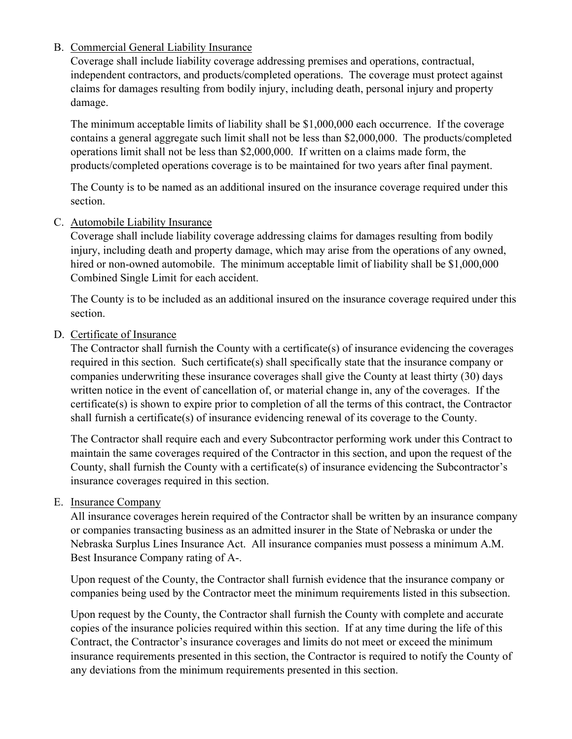### B. Commercial General Liability Insurance

Coverage shall include liability coverage addressing premises and operations, contractual, independent contractors, and products/completed operations. The coverage must protect against claims for damages resulting from bodily injury, including death, personal injury and property damage.

The minimum acceptable limits of liability shall be \$1,000,000 each occurrence. If the coverage contains a general aggregate such limit shall not be less than \$2,000,000. The products/completed operations limit shall not be less than \$2,000,000. If written on a claims made form, the products/completed operations coverage is to be maintained for two years after final payment.

The County is to be named as an additional insured on the insurance coverage required under this section.

### C. Automobile Liability Insurance

Coverage shall include liability coverage addressing claims for damages resulting from bodily injury, including death and property damage, which may arise from the operations of any owned, hired or non-owned automobile. The minimum acceptable limit of liability shall be \$1,000,000 Combined Single Limit for each accident.

The County is to be included as an additional insured on the insurance coverage required under this section.

# D. Certificate of Insurance

The Contractor shall furnish the County with a certificate(s) of insurance evidencing the coverages required in this section. Such certificate(s) shall specifically state that the insurance company or companies underwriting these insurance coverages shall give the County at least thirty (30) days written notice in the event of cancellation of, or material change in, any of the coverages. If the certificate(s) is shown to expire prior to completion of all the terms of this contract, the Contractor shall furnish a certificate(s) of insurance evidencing renewal of its coverage to the County.

The Contractor shall require each and every Subcontractor performing work under this Contract to maintain the same coverages required of the Contractor in this section, and upon the request of the County, shall furnish the County with a certificate(s) of insurance evidencing the Subcontractor's insurance coverages required in this section.

# E. Insurance Company

All insurance coverages herein required of the Contractor shall be written by an insurance company or companies transacting business as an admitted insurer in the State of Nebraska or under the Nebraska Surplus Lines Insurance Act. All insurance companies must possess a minimum A.M. Best Insurance Company rating of A-.

Upon request of the County, the Contractor shall furnish evidence that the insurance company or companies being used by the Contractor meet the minimum requirements listed in this subsection.

Upon request by the County, the Contractor shall furnish the County with complete and accurate copies of the insurance policies required within this section. If at any time during the life of this Contract, the Contractor's insurance coverages and limits do not meet or exceed the minimum insurance requirements presented in this section, the Contractor is required to notify the County of any deviations from the minimum requirements presented in this section.